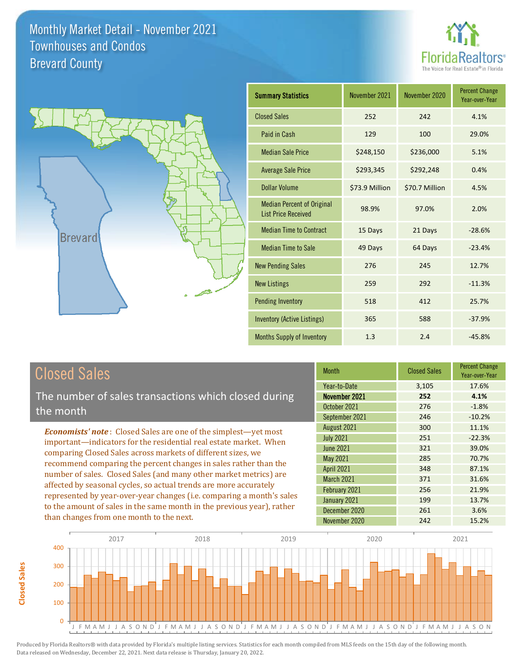



| <b>Summary Statistics</b>                                       | November 2021  | November 2020  | <b>Percent Change</b><br>Year-over-Year |
|-----------------------------------------------------------------|----------------|----------------|-----------------------------------------|
| <b>Closed Sales</b>                                             | 252            | 242            | 4.1%                                    |
| Paid in Cash                                                    | 129            | 100            | 29.0%                                   |
| <b>Median Sale Price</b>                                        | \$248,150      | \$236,000      | 5.1%                                    |
| <b>Average Sale Price</b>                                       | \$293,345      | \$292,248      | 0.4%                                    |
| Dollar Volume                                                   | \$73.9 Million | \$70.7 Million | 4.5%                                    |
| <b>Median Percent of Original</b><br><b>List Price Received</b> | 98.9%          | 97.0%          | 2.0%                                    |
| <b>Median Time to Contract</b>                                  | 15 Days        | 21 Days        | $-28.6%$                                |
| <b>Median Time to Sale</b>                                      | 49 Days        | 64 Days        | $-23.4%$                                |
| <b>New Pending Sales</b>                                        | 276            | 245            | 12.7%                                   |
| <b>New Listings</b>                                             | 259            | 292            | $-11.3%$                                |
| <b>Pending Inventory</b>                                        | 518            | 412            | 25.7%                                   |
| Inventory (Active Listings)                                     | 365            | 588            | $-37.9%$                                |
| <b>Months Supply of Inventory</b>                               | 1.3            | 2.4            | $-45.8%$                                |

# Closed Sales

The number of sales transactions which closed during the month

*Economists' note* : Closed Sales are one of the simplest—yet most important—indicators for the residential real estate market. When comparing Closed Sales across markets of different sizes, we recommend comparing the percent changes in sales rather than the number of sales. Closed Sales (and many other market metrics) are affected by seasonal cycles, so actual trends are more accurately represented by year-over-year changes (i.e. comparing a month's sales to the amount of sales in the same month in the previous year), rather than changes from one month to the next.

| Month             | <b>Closed Sales</b> | <b>Percent Change</b><br>Year-over-Year |
|-------------------|---------------------|-----------------------------------------|
| Year-to-Date      | 3,105               | 17.6%                                   |
| November 2021     | 252                 | 4.1%                                    |
| October 2021      | 276                 | $-1.8%$                                 |
| September 2021    | 246                 | $-10.2%$                                |
| August 2021       | 300                 | 11.1%                                   |
| <b>July 2021</b>  | 251                 | $-22.3%$                                |
| <b>June 2021</b>  | 321                 | 39.0%                                   |
| May 2021          | 285                 | 70.7%                                   |
| <b>April 2021</b> | 348                 | 87.1%                                   |
| March 2021        | 371                 | 31.6%                                   |
| February 2021     | 256                 | 21.9%                                   |
| January 2021      | 199                 | 13.7%                                   |
| December 2020     | 261                 | 3.6%                                    |
| November 2020     | 242                 | 15.2%                                   |

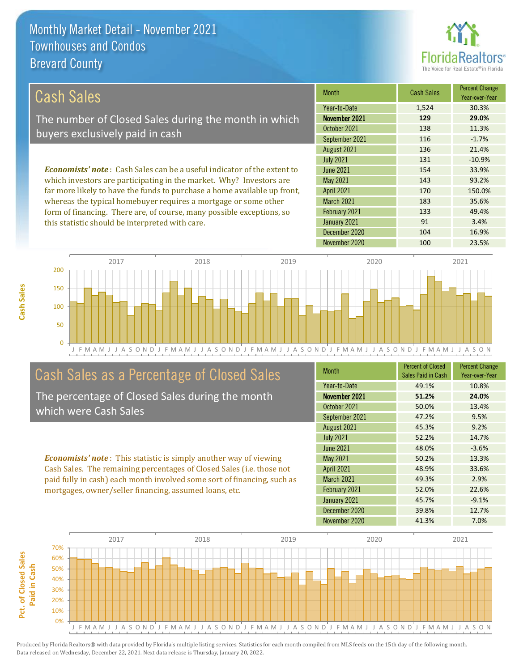this statistic should be interpreted with care.



91 3.4%

#### March 2021 183 35.6% February 2021 *Economists' note* : Cash Sales can be a useful indicator of the extent to which investors are participating in the market. Why? Investors are far more likely to have the funds to purchase a home available up front, whereas the typical homebuyer requires a mortgage or some other form of financing. There are, of course, many possible exceptions, so 133 49.4% 136 21.4% July 2021 **131** -10.9% April 2021 170 170 150.0% June 2021 **154** 33.9% May 2021 143 143 93.2% August 2021 Month Cash Sales Percent Change Year-over-Year November 2021 **129 29.0%** October 2021 138 138 11.3% September 2021 116 116 -1.7% Year-to-Date 1,524 30.3% Cash Sales The number of Closed Sales during the month in which buyers exclusively paid in cash

J F M A M J J A S O N D J F M A M J J A S O N D J F M A M J J A S O N D J F M A M J J A S O N D J F M A M J J A S O N  $\Omega$ 50 100 150 200 2017 2018 2019 2020 2021

# Cash Sales as a Percentage of Closed Sales

The percentage of Closed Sales during the month which were Cash Sales

*Economists' note* : This statistic is simply another way of viewing Cash Sales. The remaining percentages of Closed Sales (i.e. those not paid fully in cash) each month involved some sort of financing, such as mortgages, owner/seller financing, assumed loans, etc.

| <b>Month</b>      | <b>Percent of Closed</b><br>Sales Paid in Cash | <b>Percent Change</b><br>Year-over-Year |
|-------------------|------------------------------------------------|-----------------------------------------|
| Year-to-Date      | 49.1%                                          | 10.8%                                   |
| November 2021     | 51.2%                                          | 24.0%                                   |
| October 2021      | 50.0%                                          | 13.4%                                   |
| September 2021    | 47.2%                                          | 9.5%                                    |
| August 2021       | 45.3%                                          | 9.2%                                    |
| <b>July 2021</b>  | 52.2%                                          | 14.7%                                   |
| <b>June 2021</b>  | 48.0%                                          | $-3.6%$                                 |
| <b>May 2021</b>   | 50.2%                                          | 13.3%                                   |
| <b>April 2021</b> | 48.9%                                          | 33.6%                                   |
| March 2021        | 49.3%                                          | 2.9%                                    |
| February 2021     | 52.0%                                          | 22.6%                                   |
| January 2021      | 45.7%                                          | $-9.1%$                                 |
| December 2020     | 39.8%                                          | 12.7%                                   |
| November 2020     | 41.3%                                          | 7.0%                                    |

December 2020 104 104 16.9%

January 2021

November 2020 100 23.5%



**Cash Sales**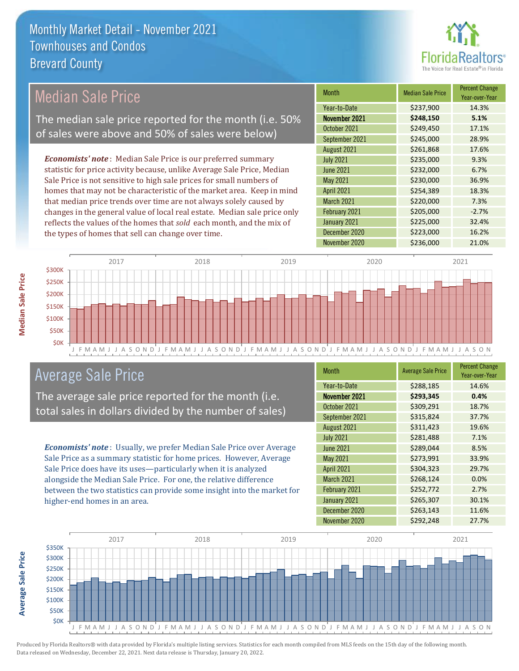

# Median Sale Price

The median sale price reported for the month (i.e. 50% of sales were above and 50% of sales were below)

*Economists' note* : Median Sale Price is our preferred summary statistic for price activity because, unlike Average Sale Price, Median Sale Price is not sensitive to high sale prices for small numbers of homes that may not be characteristic of the market area. Keep in mind that median price trends over time are not always solely caused by changes in the general value of local real estate. Median sale price only reflects the values of the homes that *sold* each month, and the mix of the types of homes that sell can change over time.

| Month             | <b>Median Sale Price</b> | <b>Percent Change</b><br>Year-over-Year |
|-------------------|--------------------------|-----------------------------------------|
| Year-to-Date      | \$237,900                | 14.3%                                   |
| November 2021     | \$248,150                | 5.1%                                    |
| October 2021      | \$249,450                | 17.1%                                   |
| September 2021    | \$245,000                | 28.9%                                   |
| August 2021       | \$261,868                | 17.6%                                   |
| <b>July 2021</b>  | \$235,000                | 9.3%                                    |
| <b>June 2021</b>  | \$232,000                | 6.7%                                    |
| <b>May 2021</b>   | \$230,000                | 36.9%                                   |
| April 2021        | \$254,389                | 18.3%                                   |
| <b>March 2021</b> | \$220,000                | 7.3%                                    |
| February 2021     | \$205,000                | $-2.7%$                                 |
| January 2021      | \$225,000                | 32.4%                                   |
| December 2020     | \$223,000                | 16.2%                                   |
| November 2020     | \$236,000                | 21.0%                                   |



## Average Sale Price

The average sale price reported for the month (i.e. total sales in dollars divided by the number of sales)

*Economists' note* : Usually, we prefer Median Sale Price over Average Sale Price as a summary statistic for home prices. However, Average Sale Price does have its uses—particularly when it is analyzed alongside the Median Sale Price. For one, the relative difference between the two statistics can provide some insight into the market for higher-end homes in an area.

| <b>Month</b>      | <b>Average Sale Price</b> | <b>Percent Change</b><br>Year-over-Year |
|-------------------|---------------------------|-----------------------------------------|
| Year-to-Date      | \$288,185                 | 14.6%                                   |
| November 2021     | \$293,345                 | 0.4%                                    |
| October 2021      | \$309,291                 | 18.7%                                   |
| September 2021    | \$315,824                 | 37.7%                                   |
| August 2021       | \$311,423                 | 19.6%                                   |
| <b>July 2021</b>  | \$281,488                 | 7.1%                                    |
| <b>June 2021</b>  | \$289,044                 | 8.5%                                    |
| May 2021          | \$273,991                 | 33.9%                                   |
| <b>April 2021</b> | \$304,323                 | 29.7%                                   |
| <b>March 2021</b> | \$268,124                 | 0.0%                                    |
| February 2021     | \$252,772                 | 2.7%                                    |
| January 2021      | \$265,307                 | 30.1%                                   |
| December 2020     | \$263,143                 | 11.6%                                   |
| November 2020     | \$292,248                 | 27.7%                                   |



**Average Sale Price**

**Average Sale Price**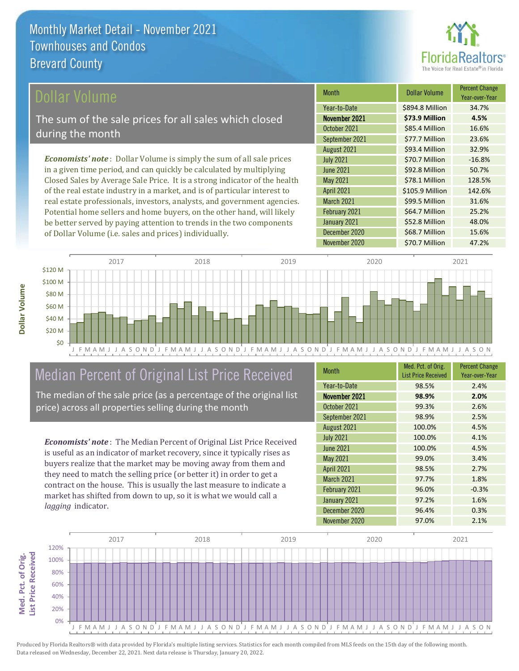

### ollar Volume

The sum of the sale prices for all sales which closed during the month

*Economists' note* : Dollar Volume is simply the sum of all sale prices in a given time period, and can quickly be calculated by multiplying Closed Sales by Average Sale Price. It is a strong indicator of the health of the real estate industry in a market, and is of particular interest to real estate professionals, investors, analysts, and government agencies. Potential home sellers and home buyers, on the other hand, will likely be better served by paying attention to trends in the two components of Dollar Volume (i.e. sales and prices) individually.

| <b>Month</b>      | <b>Dollar Volume</b> | <b>Percent Change</b><br>Year-over-Year |
|-------------------|----------------------|-----------------------------------------|
| Year-to-Date      | \$894.8 Million      | 34.7%                                   |
| November 2021     | \$73.9 Million       | 4.5%                                    |
| October 2021      | \$85.4 Million       | 16.6%                                   |
| September 2021    | \$77.7 Million       | 23.6%                                   |
| August 2021       | \$93.4 Million       | 32.9%                                   |
| <b>July 2021</b>  | \$70.7 Million       | $-16.8%$                                |
| <b>June 2021</b>  | \$92.8 Million       | 50.7%                                   |
| <b>May 2021</b>   | \$78.1 Million       | 128.5%                                  |
| <b>April 2021</b> | \$105.9 Million      | 142.6%                                  |
| March 2021        | \$99.5 Million       | 31.6%                                   |
| February 2021     | \$64.7 Million       | 25.2%                                   |
| January 2021      | \$52.8 Million       | 48.0%                                   |
| December 2020     | \$68.7 Million       | 15.6%                                   |
| November 2020     | \$70.7 Million       | 47.2%                                   |



# Median Percent of Original List Price Received

The median of the sale price (as a percentage of the original list price) across all properties selling during the month

*Economists' note* : The Median Percent of Original List Price Received is useful as an indicator of market recovery, since it typically rises as buyers realize that the market may be moving away from them and they need to match the selling price (or better it) in order to get a contract on the house. This is usually the last measure to indicate a market has shifted from down to up, so it is what we would call a *lagging* indicator.

| <b>Month</b>      | Med. Pct. of Orig.<br><b>List Price Received</b> | <b>Percent Change</b><br>Year-over-Year |
|-------------------|--------------------------------------------------|-----------------------------------------|
| Year-to-Date      | 98.5%                                            | 2.4%                                    |
| November 2021     | 98.9%                                            | 2.0%                                    |
| October 2021      | 99.3%                                            | 2.6%                                    |
| September 2021    | 98.9%                                            | 2.5%                                    |
| August 2021       | 100.0%                                           | 4.5%                                    |
| <b>July 2021</b>  | 100.0%                                           | 4.1%                                    |
| <b>June 2021</b>  | 100.0%                                           | 4.5%                                    |
| May 2021          | 99.0%                                            | 3.4%                                    |
| <b>April 2021</b> | 98.5%                                            | 2.7%                                    |
| <b>March 2021</b> | 97.7%                                            | 1.8%                                    |
| February 2021     | 96.0%                                            | $-0.3%$                                 |
| January 2021      | 97.2%                                            | 1.6%                                    |
| December 2020     | 96.4%                                            | 0.3%                                    |
| November 2020     | 97.0%                                            | 2.1%                                    |

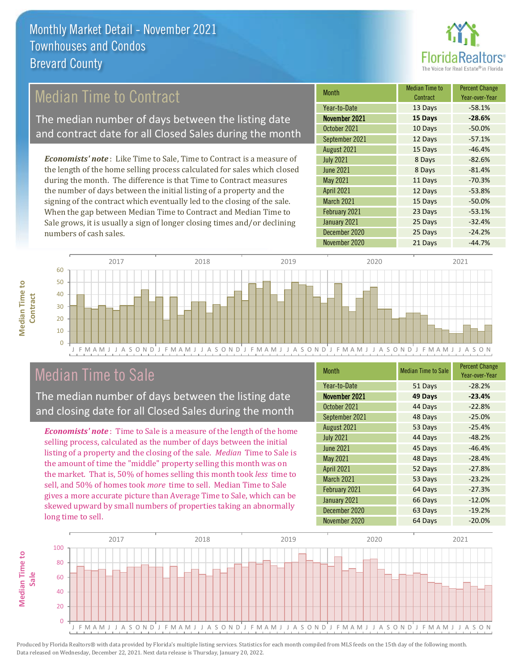

# Median Time to Contract

The median number of days between the listing date and contract date for all Closed Sales during the month

*Economists' note* : Like Time to Sale, Time to Contract is a measure of the length of the home selling process calculated for sales which closed during the month. The difference is that Time to Contract measures the number of days between the initial listing of a property and the signing of the contract which eventually led to the closing of the sale. When the gap between Median Time to Contract and Median Time to Sale grows, it is usually a sign of longer closing times and/or declining numbers of cash sales.

| <b>Month</b>      | <b>Median Time to</b><br>Contract | <b>Percent Change</b><br>Year-over-Year |
|-------------------|-----------------------------------|-----------------------------------------|
| Year-to-Date      | 13 Days                           | $-58.1%$                                |
| November 2021     | 15 Days                           | $-28.6%$                                |
| October 2021      | 10 Days                           | $-50.0%$                                |
| September 2021    | 12 Days                           | $-57.1%$                                |
| August 2021       | 15 Days                           | $-46.4%$                                |
| <b>July 2021</b>  | 8 Days                            | $-82.6%$                                |
| <b>June 2021</b>  | 8 Days                            | $-81.4%$                                |
| May 2021          | 11 Days                           | $-70.3%$                                |
| <b>April 2021</b> | 12 Days                           | $-53.8%$                                |
| <b>March 2021</b> | 15 Days                           | $-50.0%$                                |
| February 2021     | 23 Days                           | $-53.1%$                                |
| January 2021      | 25 Days                           | $-32.4%$                                |
| December 2020     | 25 Days                           | $-24.2%$                                |
| November 2020     | 21 Days                           | $-44.7%$                                |



## Median Time to Sale

**Median Time to Contract**

**Median Time to** 

The median number of days between the listing date and closing date for all Closed Sales during the month

*Economists' note* : Time to Sale is a measure of the length of the home selling process, calculated as the number of days between the initial listing of a property and the closing of the sale. *Median* Time to Sale is the amount of time the "middle" property selling this month was on the market. That is, 50% of homes selling this month took *less* time to sell, and 50% of homes took *more* time to sell. Median Time to Sale gives a more accurate picture than Average Time to Sale, which can be skewed upward by small numbers of properties taking an abnormally long time to sell.

| <b>Month</b>      | <b>Median Time to Sale</b> | <b>Percent Change</b><br>Year-over-Year |
|-------------------|----------------------------|-----------------------------------------|
| Year-to-Date      | 51 Days                    | $-28.2%$                                |
| November 2021     | 49 Days                    | $-23.4%$                                |
| October 2021      | 44 Days                    | $-22.8%$                                |
| September 2021    | 48 Days                    | $-25.0%$                                |
| August 2021       | 53 Days                    | $-25.4%$                                |
| <b>July 2021</b>  | 44 Days                    | $-48.2%$                                |
| <b>June 2021</b>  | 45 Days                    | $-46.4%$                                |
| <b>May 2021</b>   | 48 Days                    | $-28.4%$                                |
| <b>April 2021</b> | 52 Days                    | $-27.8%$                                |
| March 2021        | 53 Days                    | $-23.2%$                                |
| February 2021     | 64 Days                    | $-27.3%$                                |
| January 2021      | 66 Days                    | $-12.0%$                                |
| December 2020     | 63 Days                    | $-19.2%$                                |
| November 2020     | 64 Days                    | $-20.0%$                                |

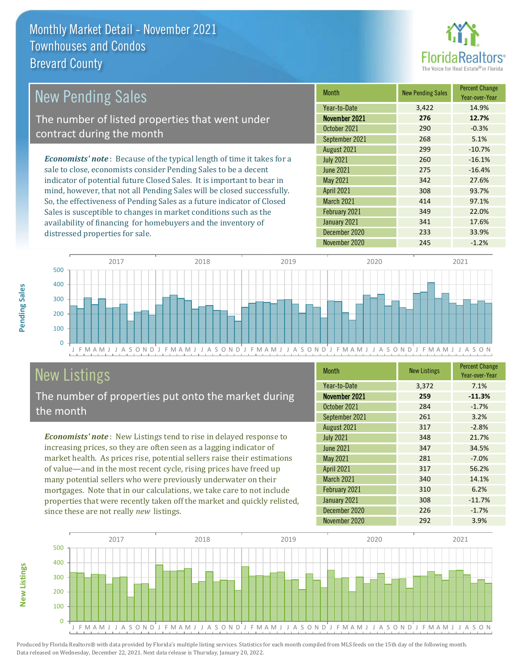

| New Pending Sales                                                              | <b>Month</b>      | <b>New Pending Sales</b> | <b>Percent Change</b><br>Year-over-Year |
|--------------------------------------------------------------------------------|-------------------|--------------------------|-----------------------------------------|
|                                                                                | Year-to-Date      | 3,422                    | 14.9%                                   |
| The number of listed properties that went under                                | November 2021     | 276                      | 12.7%                                   |
| contract during the month                                                      | October 2021      | 290                      | $-0.3%$                                 |
|                                                                                | September 2021    | 268                      | 5.1%                                    |
|                                                                                | August 2021       | 299                      | $-10.7%$                                |
| <b>Economists' note</b> : Because of the typical length of time it takes for a | <b>July 2021</b>  | 260                      | $-16.1%$                                |
| sale to close, economists consider Pending Sales to be a decent                | June 2021         | 275                      | $-16.4%$                                |
| indicator of potential future Closed Sales. It is important to bear in         | May 2021          | 342                      | 27.6%                                   |
| mind, however, that not all Pending Sales will be closed successfully.         | <b>April 2021</b> | 308                      | 93.7%                                   |
| So, the effectiveness of Pending Sales as a future indicator of Closed         | <b>March 2021</b> | 414                      | 97.1%                                   |
| Sales is susceptible to changes in market conditions such as the               | February 2021     | 349                      | 22.0%                                   |



# New Listings

distressed properties for sale.

The number of properties put onto the market during the month

availability of financing for homebuyers and the inventory of

*Economists' note* : New Listings tend to rise in delayed response to increasing prices, so they are often seen as a lagging indicator of market health. As prices rise, potential sellers raise their estimations of value—and in the most recent cycle, rising prices have freed up many potential sellers who were previously underwater on their mortgages. Note that in our calculations, we take care to not include properties that were recently taken off the market and quickly relisted, since these are not really *new* listings.

| <b>Month</b>      | <b>New Listings</b> | <b>Percent Change</b><br>Year-over-Year |
|-------------------|---------------------|-----------------------------------------|
| Year-to-Date      | 3,372               | 7.1%                                    |
| November 2021     | 259                 | $-11.3%$                                |
| October 2021      | 284                 | $-1.7%$                                 |
| September 2021    | 261                 | 3.2%                                    |
| August 2021       | 317                 | $-2.8%$                                 |
| <b>July 2021</b>  | 348                 | 21.7%                                   |
| <b>June 2021</b>  | 347                 | 34.5%                                   |
| May 2021          | 281                 | $-7.0%$                                 |
| <b>April 2021</b> | 317                 | 56.2%                                   |
| March 2021        | 340                 | 14.1%                                   |
| February 2021     | 310                 | 6.2%                                    |
| January 2021      | 308                 | $-11.7%$                                |
| December 2020     | 226                 | $-1.7%$                                 |
| November 2020     | 292                 | 3.9%                                    |

January 2021 341 17.6% December 2020 233 33.9%



Produced by Florida Realtors® with data provided by Florida's multiple listing services. Statistics for each month compiled from MLS feeds on the 15th day of the following month. Data released on Wednesday, December 22, 2021. Next data release is Thursday, January 20, 2022.

**New Listings**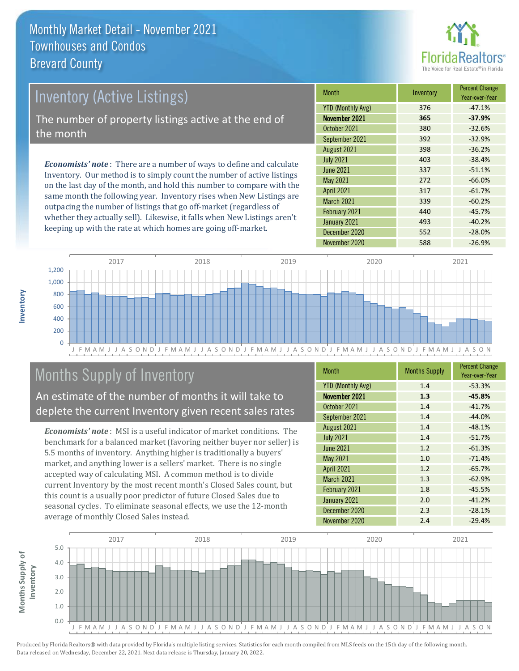

# *Economists' note* : There are a number of ways to define and calculate Inventory (Active Listings) The number of property listings active at the end of the month

Inventory. Our method is to simply count the number of active listings on the last day of the month, and hold this number to compare with the same month the following year. Inventory rises when New Listings are outpacing the number of listings that go off-market (regardless of whether they actually sell). Likewise, it falls when New Listings aren't keeping up with the rate at which homes are going off-market.

| <b>Month</b>             | Inventory | <b>Percent Change</b><br>Year-over-Year |
|--------------------------|-----------|-----------------------------------------|
| <b>YTD (Monthly Avg)</b> | 376       | $-47.1%$                                |
| November 2021            | 365       | $-37.9%$                                |
| October 2021             | 380       | $-32.6%$                                |
| September 2021           | 392       | $-32.9%$                                |
| August 2021              | 398       | $-36.2%$                                |
| <b>July 2021</b>         | 403       | $-38.4%$                                |
| <b>June 2021</b>         | 337       | $-51.1%$                                |
| <b>May 2021</b>          | 272       | $-66.0%$                                |
| <b>April 2021</b>        | 317       | $-61.7%$                                |
| March 2021               | 339       | $-60.2%$                                |
| February 2021            | 440       | $-45.7%$                                |
| January 2021             | 493       | $-40.2%$                                |
| December 2020            | 552       | $-28.0%$                                |
| November 2020            | 588       | $-26.9%$                                |



# Months Supply of Inventory

An estimate of the number of months it will take to deplete the current Inventory given recent sales rates

*Economists' note* : MSI is a useful indicator of market conditions. The benchmark for a balanced market (favoring neither buyer nor seller) is 5.5 months of inventory. Anything higher is traditionally a buyers' market, and anything lower is a sellers' market. There is no single accepted way of calculating MSI. A common method is to divide current Inventory by the most recent month's Closed Sales count, but this count is a usually poor predictor of future Closed Sales due to seasonal cycles. To eliminate seasonal effects, we use the 12-month average of monthly Closed Sales instead.

| <b>Month</b>             | <b>Months Supply</b> | <b>Percent Change</b><br>Year-over-Year |
|--------------------------|----------------------|-----------------------------------------|
| <b>YTD (Monthly Avg)</b> | 1.4                  | $-53.3%$                                |
| November 2021            | 1.3                  | $-45.8%$                                |
| October 2021             | 1.4                  | $-41.7%$                                |
| September 2021           | 1.4                  | $-44.0%$                                |
| August 2021              | 1.4                  | $-48.1%$                                |
| <b>July 2021</b>         | 1.4                  | $-51.7%$                                |
| <b>June 2021</b>         | 1.2                  | $-61.3%$                                |
| May 2021                 | 1.0                  | $-71.4%$                                |
| <b>April 2021</b>        | 1.2                  | $-65.7%$                                |
| March 2021               | 1.3                  | $-62.9%$                                |
| February 2021            | 1.8                  | $-45.5%$                                |
| January 2021             | 2.0                  | $-41.2%$                                |
| December 2020            | 2.3                  | $-28.1%$                                |
| November 2020            | 2.4                  | $-29.4%$                                |

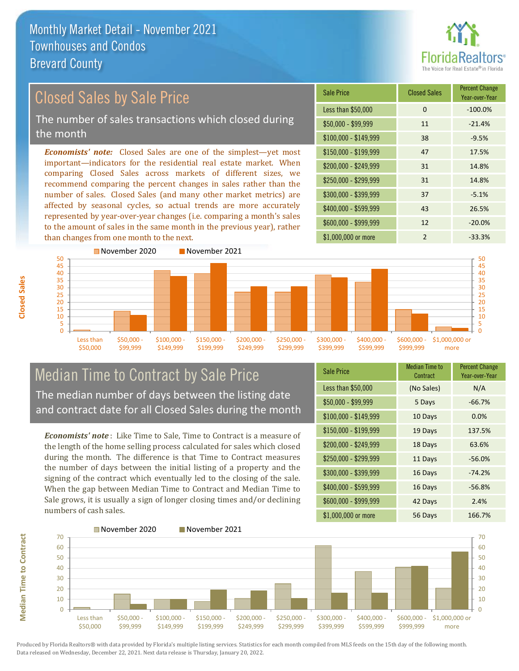

#### $$100,000 - $149,999$  38 -9.5% Sale Price Closed Sales Percent Change Year-over-Year Less than \$50,000 0 0 -100.0%  $$50,000 - $99,999$  11  $-21.4\%$ \$150,000 - \$199,999 47 17.5% \$200,000 - \$249,999 31 14.8% \$400,000 - \$599,999 43 26.5% \$600,000 - \$999,999 12 -20.0% *Economists' note:* Closed Sales are one of the simplest—yet most important—indicators for the residential real estate market. When comparing Closed Sales across markets of different sizes, we recommend comparing the percent changes in sales rather than the number of sales. Closed Sales (and many other market metrics) are affected by seasonal cycles, so actual trends are more accurately represented by year-over-year changes (i.e. comparing a month's sales to the amount of sales in the same month in the previous year), rather than changes from one month to the next. \$1,000,000 or more 2 33.3% \$250,000 - \$299,999 31 14.8% \$300,000 - \$399,999 37 -5.1% November 2020 November 2021 Closed Sales by Sale Price The number of sales transactions which closed during the month



### Median Time to Contract by Sale Price The median number of days between the listing date and contract date for all Closed Sales during the month

*Economists' note* : Like Time to Sale, Time to Contract is a measure of the length of the home selling process calculated for sales which closed during the month. The difference is that Time to Contract measures the number of days between the initial listing of a property and the signing of the contract which eventually led to the closing of the sale. When the gap between Median Time to Contract and Median Time to Sale grows, it is usually a sign of longer closing times and/or declining numbers of cash sales.

| <b>Sale Price</b>     | Median Time to<br>Contract | <b>Percent Change</b><br>Year-over-Year |
|-----------------------|----------------------------|-----------------------------------------|
| Less than \$50,000    | (No Sales)                 | N/A                                     |
| $$50,000 - $99,999$   | 5 Days                     | $-66.7%$                                |
| $$100,000 - $149,999$ | 10 Days                    | 0.0%                                    |
| \$150,000 - \$199,999 | 19 Days                    | 137.5%                                  |
| \$200,000 - \$249,999 | 18 Days                    | 63.6%                                   |
| \$250,000 - \$299,999 | 11 Days                    | $-56.0%$                                |
| \$300,000 - \$399,999 | 16 Days                    | $-74.2%$                                |
| \$400,000 - \$599,999 | 16 Days                    | $-56.8%$                                |
| \$600,000 - \$999,999 | 42 Days                    | 2.4%                                    |
| \$1,000,000 or more   | 56 Days                    | 166.7%                                  |



Produced by Florida Realtors® with data provided by Florida's multiple listing services. Statistics for each month compiled from MLS feeds on the 15th day of the following month. Data released on Wednesday, December 22, 2021. Next data release is Thursday, January 20, 2022.

**Median Time to Contract**

**Median Time to Contract**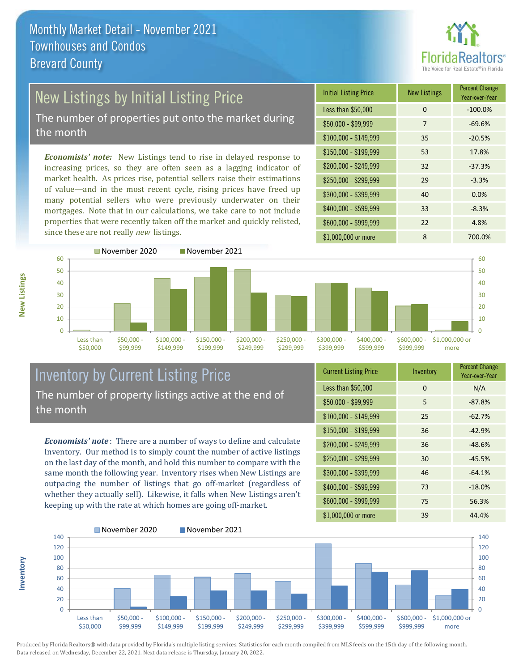

# New Listings by Initial Listing Price

The number of properties put onto the market during the month

*Economists' note:* New Listings tend to rise in delayed response to increasing prices, so they are often seen as a lagging indicator of market health. As prices rise, potential sellers raise their estimations of value—and in the most recent cycle, rising prices have freed up many potential sellers who were previously underwater on their mortgages. Note that in our calculations, we take care to not include properties that were recently taken off the market and quickly relisted, since these are not really *new* listings.

| <b>Initial Listing Price</b> | <b>New Listings</b> | <b>Percent Change</b><br>Year-over-Year |
|------------------------------|---------------------|-----------------------------------------|
| Less than \$50,000           | 0                   | $-100.0%$                               |
| $$50,000 - $99,999$          | 7                   | $-69.6%$                                |
| $$100,000 - $149,999$        | 35                  | $-20.5%$                                |
| $$150,000 - $199,999$        | 53                  | 17.8%                                   |
| \$200,000 - \$249,999        | 32                  | $-37.3%$                                |
| \$250,000 - \$299,999        | 29                  | $-3.3%$                                 |
| \$300,000 - \$399,999        | 40                  | 0.0%                                    |
| \$400,000 - \$599,999        | 33                  | $-8.3%$                                 |
| \$600,000 - \$999,999        | 22                  | 4.8%                                    |
| \$1,000,000 or more          | 8                   | 700.0%                                  |



Inventory by Current Listing Price The number of property listings active at the end of the month

*Economists' note* : There are a number of ways to define and calculate Inventory. Our method is to simply count the number of active listings on the last day of the month, and hold this number to compare with the same month the following year. Inventory rises when New Listings are outpacing the number of listings that go off-market (regardless of whether they actually sell). Likewise, it falls when New Listings aren't keeping up with the rate at which homes are going off-market.

| <b>Current Listing Price</b> | Inventory | <b>Percent Change</b><br>Year-over-Year |
|------------------------------|-----------|-----------------------------------------|
| Less than \$50,000           | 0         | N/A                                     |
| $$50,000 - $99,999$          | 5         | $-87.8%$                                |
| $$100,000 - $149,999$        | 25        | $-62.7%$                                |
| $$150,000 - $199,999$        | 36        | $-42.9%$                                |
| \$200,000 - \$249,999        | 36        | $-48.6%$                                |
| \$250,000 - \$299,999        | 30        | $-45.5%$                                |
| \$300,000 - \$399,999        | 46        | $-64.1%$                                |
| $$400,000 - $599,999$        | 73        | $-18.0%$                                |
| \$600,000 - \$999,999        | 75        | 56.3%                                   |
| \$1,000,000 or more          | 39        | 44.4%                                   |

\$1,000,000 or more



Produced by Florida Realtors® with data provided by Florida's multiple listing services. Statistics for each month compiled from MLS feeds on the 15th day of the following month. Data released on Wednesday, December 22, 2021. Next data release is Thursday, January 20, 2022.

**Inventory**